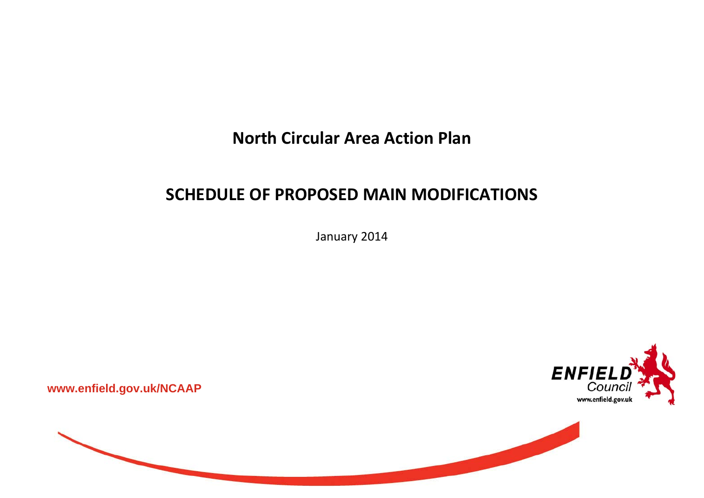**North Circular Area Action Plan**

## **SCHEDULE OF PROPOSED MAIN MODIFICATIONS**

January 2014



**www.enfield.gov.uk/NCAAP** 

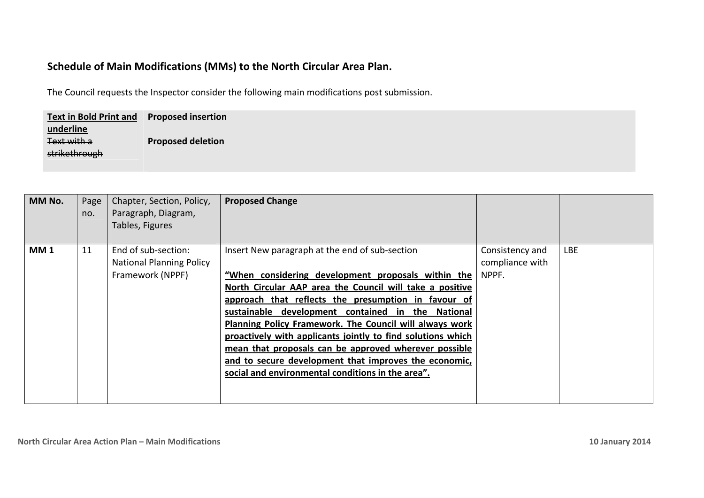## **Schedule of Main Modifications (MMs) to the North Circular Area Plan.**

The Council requests the Inspector consider the following main modifications post submission.

| <b>Text in Bold Print and Proposed insertion</b> |                          |
|--------------------------------------------------|--------------------------|
| underline                                        |                          |
| Text with a                                      | <b>Proposed deletion</b> |
| strikethrough                                    |                          |
|                                                  |                          |

| MM No.     | Page<br>no. | Chapter, Section, Policy,<br>Paragraph, Diagram,<br>Tables, Figures        | <b>Proposed Change</b>                                                                                                                                                                                                                                                                                                                                                                                                                                                                                                                                                               |                                             |            |
|------------|-------------|----------------------------------------------------------------------------|--------------------------------------------------------------------------------------------------------------------------------------------------------------------------------------------------------------------------------------------------------------------------------------------------------------------------------------------------------------------------------------------------------------------------------------------------------------------------------------------------------------------------------------------------------------------------------------|---------------------------------------------|------------|
| <b>MM1</b> | 11          | End of sub-section:<br><b>National Planning Policy</b><br>Framework (NPPF) | Insert New paragraph at the end of sub-section<br>"When considering development proposals within the<br>North Circular AAP area the Council will take a positive<br>approach that reflects the presumption in favour of<br>sustainable development contained in the National<br><b>Planning Policy Framework. The Council will always work</b><br>proactively with applicants jointly to find solutions which<br>mean that proposals can be approved wherever possible<br>and to secure development that improves the economic,<br>social and environmental conditions in the area". | Consistency and<br>compliance with<br>NPPF. | <b>LBE</b> |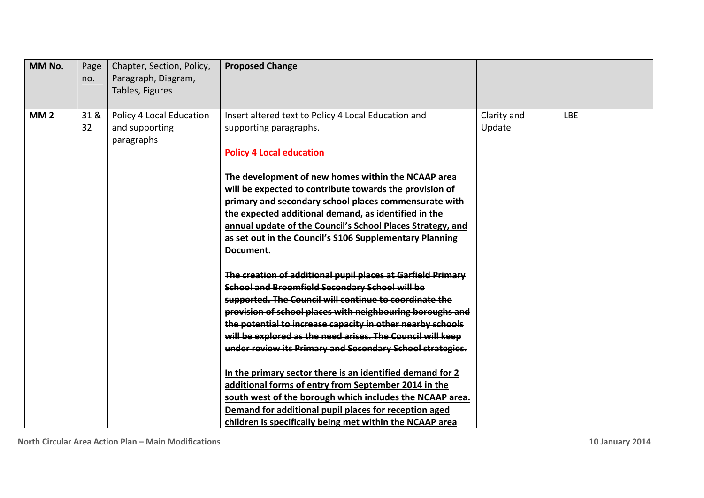| MM No.     | Page<br>no. | Chapter, Section, Policy,<br>Paragraph, Diagram,<br>Tables, Figures | <b>Proposed Change</b>                                                                                                                                                                                                                                                                                                                                                                                                                                                                                                                                                                                                                                               |                       |            |
|------------|-------------|---------------------------------------------------------------------|----------------------------------------------------------------------------------------------------------------------------------------------------------------------------------------------------------------------------------------------------------------------------------------------------------------------------------------------------------------------------------------------------------------------------------------------------------------------------------------------------------------------------------------------------------------------------------------------------------------------------------------------------------------------|-----------------------|------------|
| <b>MM2</b> | 31 &<br>32  | Policy 4 Local Education<br>and supporting<br>paragraphs            | Insert altered text to Policy 4 Local Education and<br>supporting paragraphs.<br><b>Policy 4 Local education</b><br>The development of new homes within the NCAAP area<br>will be expected to contribute towards the provision of<br>primary and secondary school places commensurate with<br>the expected additional demand, as identified in the<br>annual update of the Council's School Places Strategy, and<br>as set out in the Council's S106 Supplementary Planning<br>Document.<br>The creation of additional pupil places at Garfield Primary                                                                                                              | Clarity and<br>Update | <b>LBE</b> |
|            |             |                                                                     | School and Broomfield Secondary School will be<br>supported. The Council will continue to coordinate the<br>provision of school places with neighbouring boroughs and<br>the potential to increase capacity in other nearby schools<br>will be explored as the need arises. The Council will keep<br>under review its Primary and Secondary School strategies.<br>In the primary sector there is an identified demand for 2<br>additional forms of entry from September 2014 in the<br>south west of the borough which includes the NCAAP area.<br>Demand for additional pupil places for reception aged<br>children is specifically being met within the NCAAP area |                       |            |

**North Circular Area Action Plan – Main Modifications 10 January 2014**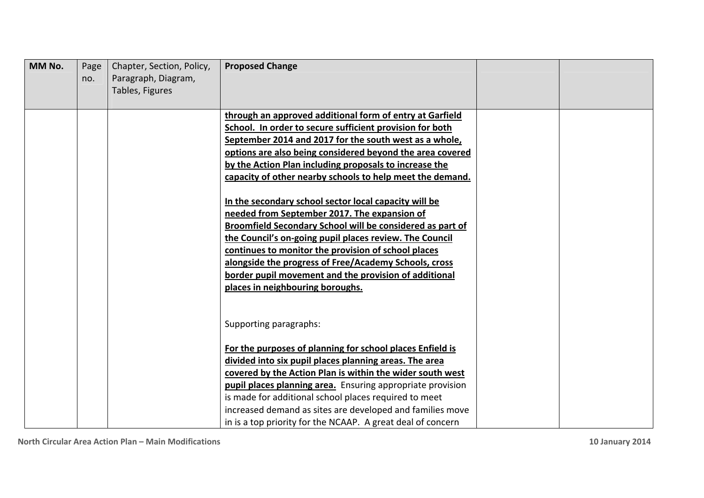| MM No. | Page<br>no. | Chapter, Section, Policy,<br>Paragraph, Diagram,<br>Tables, Figures | <b>Proposed Change</b>                                                                                                                                                                                                                                                                                                                                                                                                                     |  |
|--------|-------------|---------------------------------------------------------------------|--------------------------------------------------------------------------------------------------------------------------------------------------------------------------------------------------------------------------------------------------------------------------------------------------------------------------------------------------------------------------------------------------------------------------------------------|--|
|        |             |                                                                     | through an approved additional form of entry at Garfield<br>School. In order to secure sufficient provision for both<br>September 2014 and 2017 for the south west as a whole,<br>options are also being considered beyond the area covered<br>by the Action Plan including proposals to increase the<br>capacity of other nearby schools to help meet the demand.                                                                         |  |
|        |             |                                                                     | In the secondary school sector local capacity will be<br>needed from September 2017. The expansion of<br>Broomfield Secondary School will be considered as part of<br>the Council's on-going pupil places review. The Council<br>continues to monitor the provision of school places<br>alongside the progress of Free/Academy Schools, cross<br>border pupil movement and the provision of additional<br>places in neighbouring boroughs. |  |
|        |             |                                                                     | Supporting paragraphs:                                                                                                                                                                                                                                                                                                                                                                                                                     |  |
|        |             |                                                                     | For the purposes of planning for school places Enfield is<br>divided into six pupil places planning areas. The area<br>covered by the Action Plan is within the wider south west<br>pupil places planning area. Ensuring appropriate provision<br>is made for additional school places required to meet<br>increased demand as sites are developed and families move<br>in is a top priority for the NCAAP. A great deal of concern        |  |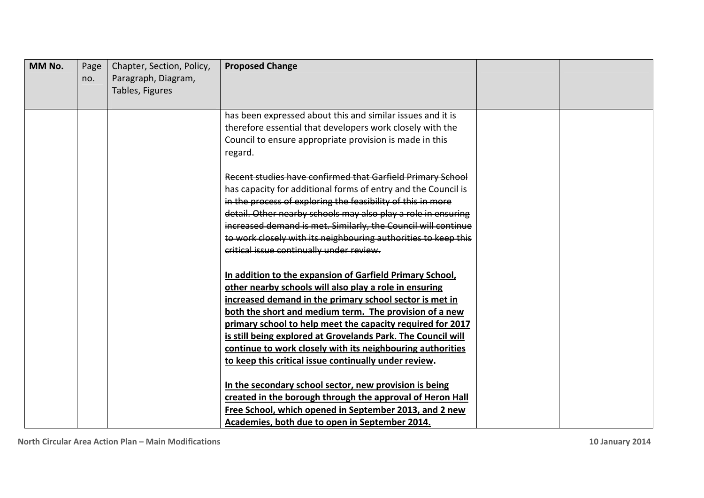| MM No. | Page<br>no. | Chapter, Section, Policy,<br>Paragraph, Diagram,<br>Tables, Figures | <b>Proposed Change</b>                                                                                                         |  |
|--------|-------------|---------------------------------------------------------------------|--------------------------------------------------------------------------------------------------------------------------------|--|
|        |             |                                                                     |                                                                                                                                |  |
|        |             |                                                                     | has been expressed about this and similar issues and it is                                                                     |  |
|        |             |                                                                     | therefore essential that developers work closely with the                                                                      |  |
|        |             |                                                                     | Council to ensure appropriate provision is made in this<br>regard.                                                             |  |
|        |             |                                                                     | Recent studies have confirmed that Garfield Primary School                                                                     |  |
|        |             |                                                                     | has capacity for additional forms of entry and the Council is                                                                  |  |
|        |             |                                                                     | in the process of exploring the feasibility of this in more                                                                    |  |
|        |             |                                                                     | detail. Other nearby schools may also play a role in ensuring<br>increased demand is met. Similarly, the Council will continue |  |
|        |             |                                                                     | to work closely with its neighbouring authorities to keep this                                                                 |  |
|        |             |                                                                     | critical issue continually under review.                                                                                       |  |
|        |             |                                                                     |                                                                                                                                |  |
|        |             |                                                                     | In addition to the expansion of Garfield Primary School,                                                                       |  |
|        |             |                                                                     | other nearby schools will also play a role in ensuring                                                                         |  |
|        |             |                                                                     | increased demand in the primary school sector is met in                                                                        |  |
|        |             |                                                                     | both the short and medium term. The provision of a new                                                                         |  |
|        |             |                                                                     | primary school to help meet the capacity required for 2017                                                                     |  |
|        |             |                                                                     | is still being explored at Grovelands Park. The Council will                                                                   |  |
|        |             |                                                                     | continue to work closely with its neighbouring authorities<br>to keep this critical issue continually under review.            |  |
|        |             |                                                                     |                                                                                                                                |  |
|        |             |                                                                     | In the secondary school sector, new provision is being                                                                         |  |
|        |             |                                                                     | created in the borough through the approval of Heron Hall                                                                      |  |
|        |             |                                                                     | Free School, which opened in September 2013, and 2 new                                                                         |  |
|        |             |                                                                     | Academies, both due to open in September 2014.                                                                                 |  |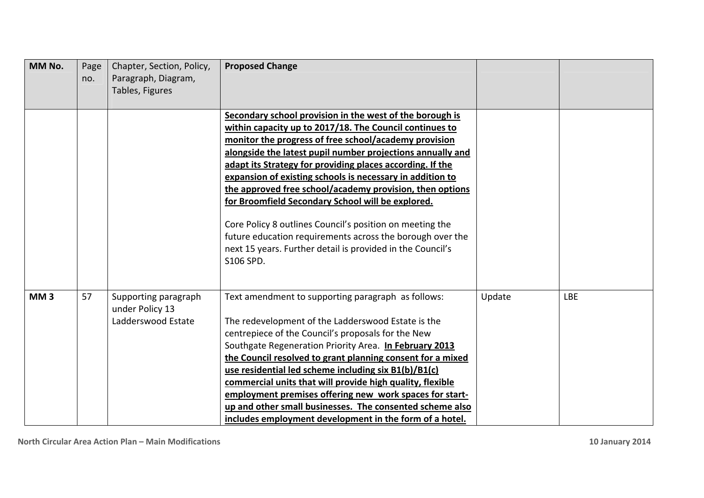| MM No.          | Page<br>no. | Chapter, Section, Policy,<br>Paragraph, Diagram,<br>Tables, Figures | <b>Proposed Change</b>                                                                                                                                                                                                                                                                                                                                                                                                                                                                                                                                                                                                                                                                    |        |            |
|-----------------|-------------|---------------------------------------------------------------------|-------------------------------------------------------------------------------------------------------------------------------------------------------------------------------------------------------------------------------------------------------------------------------------------------------------------------------------------------------------------------------------------------------------------------------------------------------------------------------------------------------------------------------------------------------------------------------------------------------------------------------------------------------------------------------------------|--------|------------|
|                 |             |                                                                     | Secondary school provision in the west of the borough is<br>within capacity up to 2017/18. The Council continues to<br>monitor the progress of free school/academy provision<br>alongside the latest pupil number projections annually and<br>adapt its Strategy for providing places according. If the<br>expansion of existing schools is necessary in addition to<br>the approved free school/academy provision, then options<br>for Broomfield Secondary School will be explored.<br>Core Policy 8 outlines Council's position on meeting the<br>future education requirements across the borough over the<br>next 15 years. Further detail is provided in the Council's<br>S106 SPD. |        |            |
| MM <sub>3</sub> | 57          | Supporting paragraph<br>under Policy 13<br>Ladderswood Estate       | Text amendment to supporting paragraph as follows:<br>The redevelopment of the Ladderswood Estate is the<br>centrepiece of the Council's proposals for the New<br>Southgate Regeneration Priority Area. In February 2013<br>the Council resolved to grant planning consent for a mixed<br>use residential led scheme including six B1(b)/B1(c)<br>commercial units that will provide high quality, flexible<br>employment premises offering new work spaces for start-<br>up and other small businesses. The consented scheme also<br>includes employment development in the form of a hotel.                                                                                             | Update | <b>LBE</b> |